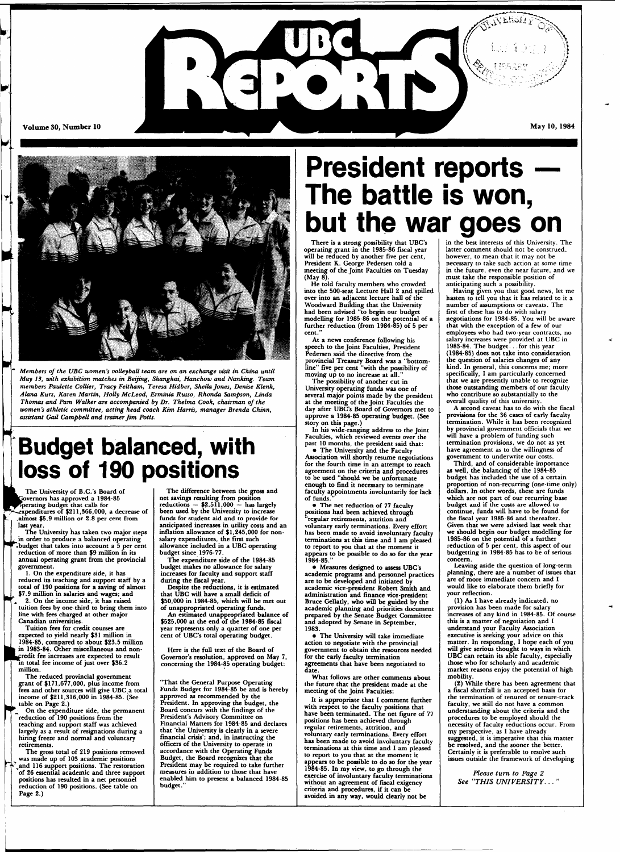

**L** 



*Members of the UBC women's volleyball team are on an exchange visit in China until May 13, with exhibition matches in Beijing, Shanghai, Hanchow and Nanking. Team members Paulette Collier, Tracy Feltham, Teresa Hidber, Sheila Jones, Denise Klenk, Alana Kurz, Karen Martin, Holly McLeod, Erminia Russo, Rhonda Sampson, Linda Thomas and Pam Walker are accompanied by Dr. Thelma Cook, chairman of the women's athletic committee, acting head coach Kim Harris, manager Brenda Chinn, assistant Gail Campbell and trainer Jim Potts.* 

### **Budget balanced, with loss of 190 positions**

**| ^ L The University of B.C.'s Board of ^^•Govemor s has approved a 1984-85 ^^^riperating budget that calls for ^•'•^expenditures of \$211,366,000, a decrease of .almost \$5.9 million or 2.8 per cent from** 

**last year. The University has taken two major steps in order to produce a balanced operating .budget that takes into account a 5 per cent reduction of more than \$9 million in its annual operating grant from the provincial government.** 

**1. On the expenditure side, it has reduced its teaching and support staff by a total of 190 positions for a saving of almost \$7.9 million in salaries and wages; and 2. On the income side, it has raised** 

**tuition fees by one-third to bring them into line with fees charged at other major Canadian universities.** 

**Tuition fees for credit courses are expected to yield nearly \$31 million in 1984-85, compared to about \$23.5 million**  in 1983-84. Other miscellaneous and nonpredit fee increases are expected to result *\*~* **' In total fee income of just over \$36.2 million.** 

**The reduced provincial government grant of \$171,677,000, plus income from fees and other sources will give UBC a total income of \$211,316,000 in 1984-85. (See table on Page 2.)** 

*\* **On the expenditure side, the permanent reduction of 190 positions from the teaching and support staff was achieved largely as a result of resignations during a hiring freeze and normal and voluntary retirements.** 

**The gross total of 219 positions removed J was made up of 103 academic positions**  and 116 support positions. The restoration **of 26 essential academic and three support positions has resulted in a net personnel reduction of 190 positions. (See table on Page 2.)** 

**The difference between the gross and net savings resulting from position reductions — \$2,511,000 — has largely been used by the University to increase funds for student aid and to provide for anticipated increases in utility costs and an inflation allowance of \$1,245,000 for nonsalary expenditures, the first such allowance included in a UBC operating budget since 1976-77.** 

**The expenditure side of the 1984-85 budget makes no allowance for salary increases for faculty and support staff during the fiscal year.** 

**Despite the reductions, it is estimated that UBC will have a small deficit of \$50,000 in 1984-85, which will be met out of unappropriated operating funds.** 

**An estimated unappropriated balance of \$525,000 at the end of the 1984-85 fiscal year represents only a quarter of one per cent of UBC's total operating budget.** 

**Here is the full text of the Board of Governor's resolution, approved on May 7, concerning the 1984-85 operating budget:** 

**"That the General Purpose Operating Funds Budget for 1984-85 be and is hereby approved as recommended by the President. In approving the budget, the Board concurs with the findings of the President's Advisory Committee on Financial Matters for 1984-85 and declares that 'the University is clearly in a severe financial crisis'; and, in instructing the officers of the University to operate in accordance with the Operating Funds Budget, the Board recognizes that the President may be required to take further measures in addition to those that have enabled him to present a balanced 1984-85 budget."** 

## **President reports The battle is won, but the war goes on**

**There is a strong possibility that UBC's operating grant in the 1985-86 fiscal year will be reduced by another five per cent, President K. George Pedersen told a meeting of the Joint Faculties on Tuesday (May 8).** 

**He told faculty members who crowded into the 500-seat Lecture Hall 2 and spilled over into an adjacent lecture hall of the Woodward Building that the University had been advised "to begin our budget modelling for 1985-86 on the potential of a further reduction (from 1984-85) of 5 per cent."** 

**At a news conference following his speech to the Joint Faculties, President Pedersen said the directive from the provincial Treasury Board was a "bottomline" five per cent "with the possibility of moving up to no increase at all."** 

**The possibility of another cut in University operating funds was one of several major points made by the president at the meeting of the Joint Faculties the day after UBC's Board of Governors met to approve a 1984-85 operating budget. (See story on this page.)** 

**In his wide-ranging address to the Joint Faculties, which reviewed events over the past 10 months, the president said that: • The University and the Faculty** 

**Association will shortly resume negotiations for the fourth time in an attempt to reach agreement on the criteria and procedures to be used "should we be unfortunate enough to find it necessary to terminate faculty appointments involuntarily for lack**  of funds.

**• The net reduction of 77 faculty positions had been achieved through "regular retirements, attrition and voluntary early terminations. Every effort has been made to avoid involuntary faculty terminations at this time and I am pleased to report to you that at the moment it appears to be possible to do so for the year 1984-85."** 

**• Measures designed to assess UBC's academic programs and personnel practices are to be developed and initiated by academic vice-president Robert Smith and administration and finance vice-president Bruce Gellatly, who will be guided by the academic planning and priorities document prepared by the Senate Budget Committee and adopted by Senate in September, 1983.** 

**• The University will take immediate action to negotiate with the provincial government to obtain the resources needed for the early faculty termination agreements that have been negotiated to date.** 

**What follows are other comments about the future that the president made at the meeting of the Joint Faculties:** 

**It is appropriate that I comment further with respect to the faculty positions that have been terminated. The net figure of 77 positions has been achieved through regular retirements, attrition, and voluntary early terminations. Every effort has been made to avoid involuntary faculty terminations at this time and I am pleased to report to you that at the moment it appears to be possible to do so for the year 1984-85. In my view, to go through the exercise of involuntary faculty terminations**  without an agreement of fiscal exigency **criteria and procedures, if it can be avoided in any way, would clearly not be** 

**in the best interests of this University. The latter comment should not be construed, however, to mean that it may not be necessary to take such action at some time in the future, even the near future, and we must take the responsible position of anticipating such a possibility.** 

**Having given you that good news, let me hasten to tell you that it has related to it a number of assumptions or caveats. The first of these has to do with salary negotiations for 1984-85. You will be aware that with the exception of a few of our employees who had two-year contracts, no salary increases were provided at UBC in 1983-84. The budget. . for this year (1984-85) does not take into consideration the question of salaries changes of any kind. In general, this concerns me; more specifically, I am particularly concerned that we are presently unable to recognize those outstanding members of our faculty who contribute so substantially to the overall quality of this university.** 

**A second caveat has to do with the fiscal provisions for the 36 cases of early faculty termination. While it has been recognized by provincial government officials that we will have a problem of funding such termination provisions, we do not as yet have agreement as to the willingness of government to underwrite our costs.** 

**Third, and of considerable importance as well, the balancing of the 1984-85 budget has included the use of a certain proportion of non-recurring (one-time only) dollars. In other words, these are funds which are not part of our recurring base budget and if the costs are allowed to continue, funds will have to be found for the fiscal year 1985-86 and thereafter. Given that we were advised last week that we should begin our budget modelling for 1985-86 on the potential of a further reduction of 5 per cent, this aspect of our budgetting in 1984-85 has to be of serious concern.** 

**Leaving aside the question of long-term planning, there are a number of issues that are of more immediate concern and I would like to elaborate them briefly for your reflection.** 

**(1) As I have already indicated, no provision has been made for salary increases of any kind in 1984-85. Of course this is a matter of negotiation and I understand your Faculty Association executive is seeking your advice on this matter. In responding, I hope each of you will give serious thought to ways in which UBC can retain its able faculty, especially those who for scholarly and academic market reasons enjoy the potential of high mobility.** 

**(2) While there has been agreement that a fiscal shortfall is an accepted basis for the termination of tenured or tenure-track faculty, we still do not have a common understanding about the criteria and the procedures to be employed should the necessity of faculty reductions occur. From my perspective, as I have already suggested, it is imperative that this matter be resolved, and the sooner the better. Certainly it is preferable to resolve such issues outside the framework of developing** 

*Please turn to Page 2 See "THIS UNIVERSITY. . . "*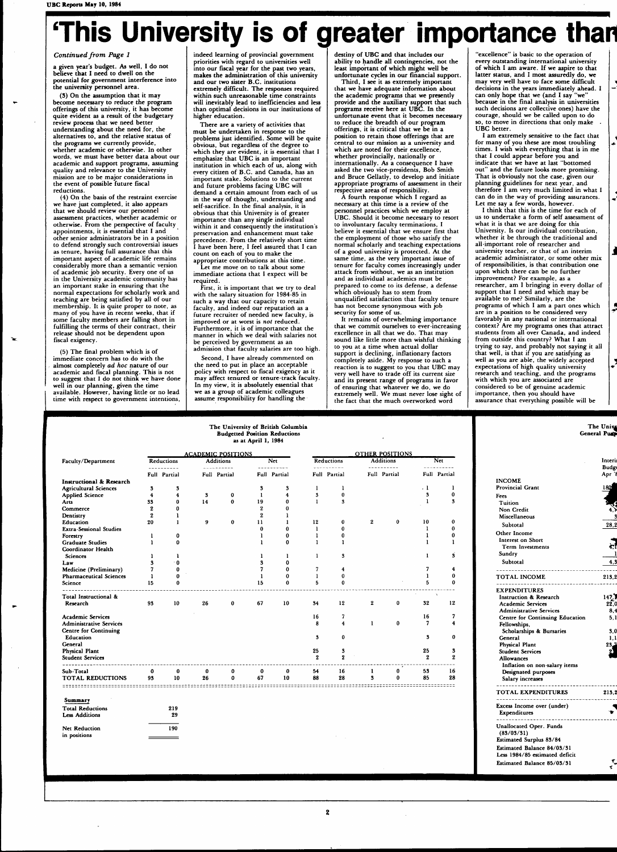# **This University is of greater importance than**

*Continued from Page 1* 

**a given year's budget. As well, I do not believe that I need to dwell on the potential for government interference into the university personnel area.** 

**(3) On the assumption that it may become necessary to reduce the program offerings of this university, it has become quite evident as a result of the budgetary review process that we need better understanding about the need for, the alternatives to, and the relative status of the programs we currently provide, whether academic or otherwise. In other words, we must have better data about our academic and support programs, assuming quality and relevance to the University mission are to be major considerations in the event of possible future fiscal reductions.** 

**(4) On the basis of the restraint exercise we have just completed, it also appears that we should review our personnel assessment practices, whether academic or otherwise. From the perspective of faculty appointments, it is essential that I and other senior administrators be in a position to defend strongly such controversial issues as tenure, having full assurance that this important aspect of academic life remains considerably more than a semantic version of academic job security. Every one of us in the University academic community has an important stake in ensuring that the normal expectations for scholarly work and teaching are being satisfied by all of our membership. It is quite proper to note, as many of you have in recent weeks, that if some faculty members are falling short in fulfilling the terms of their contract, their release should not be dependent upon fiscal exigency.** 

**(5) The final problem which is of immediate concern has to do with the almost completely** *ad hoc* **nature of our academic and fiscal planning. This is not to suggest that I do not think we have done well in our planning, given the time available. However, having little or no lead time with respect to government intentions,** 

**indeed learning of provincial government priorities with regard to universities well into our fiscal year for the past two years, makes the administration of this university and our two sister B.C. institutions extremely difficult. The responses required within such unreasonable time constraints will inevitably lead to inefficiencies and less than optimal decisions in our institutions of higher education.** 

**There are a variety of activities that must be undertaken in response to the problems just identified. Some will be quite obvious, but regardless of the degree to which they are evident, it is essential that I emphasize that UBC is an important institution in which each of us, along with every citizen of B.C. and Canada, has an important stake. Solutions to the current and future problems facing UBC will demand a certain amount from each of us in the way of thought, understanding and self-sacrifice. In the final analysis, it is obvious that this University is of greater importance than any single individual within it and consequently the institution's preservation and enhancement must take precedence. From the relatively short time I have been here, I feel assured that I can count on each of you to make the appropriate contributions at this time.** 

**Let me move on to talk about some immediate actions that I expect will be required.** 

**First, it is important that we try to deal with the salary situation for 1984-85 in such a way that our capacity to retain**  faculty, and indeed our reputation as a **future recruiter of needed new faculty, is improved or at worst is** *not* **reduced. Furthermore, it is of importance that the manner in which we deal with salaries not be perceived by government as an admission that faculty salaries are too high.** 

**Second, I have already commented on the need to put in place an acceptable policy with respect to fiscal exigency as it may affect tenured or tenure-track faculty. In my view, it is absolutely essential that we as a group of academic colleagues assume responsibility for handling the** 

**destiny of UBC and that includes our ability to handle all contingencies, not the least important of which might well be** 

**unfortunate cycles in our financial support. Third, I see it as extremely important that we have adequate information about the academic programs that we presently provide and the auxiliary support that such programs receive here at UBC. In the unfortunate event that it becomes necessary to reduce the breadth of our program offerings, it is critical that we be in a position to retain those offerings that are central to our mission as a university and which are noted for their excellence, whether provincially, nationally or internationally. As a consequence I have asked the two vice-presidents, Bob Smith and Bruce Gellatly, to develop and initiate appropriate programs of assessment in their respective areas of responsibility.** 

**A fourth response which I regard as necessary at this time is a review of the personnel practices which we employ at UBC. Should it become necessary to resort to involuntary faculty terminations, I believe it essential that we ensure first that the employment of those who satisfy the normal scholarly and teaching expectations of a good university is protected. At the same time, as the very important issue of tenure for faculty comes increasingly under attack from without, we as an institution and as individual academics must be prepared to come to its defense, a defense which obviously has to stem from unqualified satisfaction that faculty tenure has not become synonymous with job**  security for some of us.

**It remains of overwhelming importance that we commit ourselves to ever-increasing excellence in all that we do. That may sound like little more than wishful thinking to you at a time when actual dollar support is declining, inflationary factors completely aside. My response to such a reaction is to suggest to you that UBC may very well have to trade off its current size and its present range of programs in favor of ensuring that whatever we do, we do extremely well. We must never lose sight of the fact that the much overworked word** 

**"excellence" is basic to the operation of every outstanding international university of which I am aware. If we aspire to that latter status, and I most assuredly do, we may very well have to face some difficult decisions in the years immediately ahead. I can only hope that we (and I say "we" because in the final analysis in universities such decisions are collective ones) have the courage, should we be called upon to do so, to move in directions that only make UBC better.** 

**I am extremely sensitive to the fact that for many of you these are most troubling times. I wish with everything that is in me that I could appear before you and indicate that we have at last "bottomed out" and the future looks more promising. That is obviously not the case, given our planning guidelines for next year, and therefore I am very much limited in what I can do in the way of providing assurances. Let me say a few words, however.** 

**I think that this is the time for each of us to undertake a form of self assessment of what it is that we are doing for this University. Is our individual contribution, whether it be through the traditional and all-important role of researcher and university teacher, or that of an interim academic administrator, or some other mix of responsibilities, is that contribution one upon which there can be no further improvement? For example, as a researcher, am I bringing in every dollar of support that I need and which may be available to me? Similarly, are the programs of which I am a part ones which are in a position to be considered very favorably in any national or international context? Are my programs ones that attract students from all over Canada, and indeed from outside this country? What I am trying to say, and probably not saying it all that well, is that if you are satisfying as well as you are able, the widely accepted expectations of high quality university research and teaching, and the programs with which you are associated are considered to be of genuine academic importance, then you should have assurance that everything possible will be** 

**Fees** 

| Faculty/Department                               | Reductions       |                         |          | <b>ACADEMIC POSITIONS</b><br><b>Additions</b><br><b>Net</b> |                  |                     | <b>OTHER POSITIONS</b><br><b>Additions</b><br>Reductions |                              |                  | Net      |                   |                         |
|--------------------------------------------------|------------------|-------------------------|----------|-------------------------------------------------------------|------------------|---------------------|----------------------------------------------------------|------------------------------|------------------|----------|-------------------|-------------------------|
|                                                  |                  | ----------              |          | ----------                                                  |                  | ----------          | ----------                                               |                              | ----------       |          |                   | ----------              |
|                                                  |                  | Full Partial            |          | Full Partial                                                |                  | <b>Full Partial</b> | Full Partial                                             |                              | Full Partial     |          |                   | Full Partial            |
| <b>Instructional &amp; Research</b>              |                  |                         |          |                                                             |                  |                     |                                                          |                              |                  |          |                   |                         |
| <b>Agricultural Sciences</b>                     | 3                | 3                       |          |                                                             | 3                | 3                   | 1                                                        | 1                            |                  |          | $\cdot$ 1         | 1                       |
| <b>Applied Science</b>                           | 4                | $\overline{\mathbf{4}}$ | 3        | 0                                                           | $\mathbf{I}$     | 4                   | 3                                                        | $\bf{0}$<br>$\boldsymbol{3}$ |                  |          | 3<br>$\mathbf{1}$ | 0<br>$\bf{3}$           |
| Arts                                             | 33               | $\bf{0}$                | 14       | $\bf{0}$                                                    | 19               | 0                   | 1                                                        |                              |                  |          |                   |                         |
| Commerce                                         | $\boldsymbol{2}$ | 0                       |          |                                                             | $\boldsymbol{2}$ | 0                   |                                                          |                              |                  |          |                   |                         |
| Dentistry                                        | $\overline{2}$   | 1                       |          |                                                             | $\boldsymbol{2}$ | $\bf{l}$            |                                                          |                              |                  |          |                   |                         |
| Education                                        | 20               | 1                       | 9        | 0                                                           | 11               | $\mathbf{1}$        | 12                                                       | $\bf{0}$                     | $\boldsymbol{2}$ | $\bf{0}$ | 10                | $\bf{0}$                |
| <b>Extra-Sessional Studies</b>                   |                  |                         |          |                                                             | $\bf{0}$         | $\bf{0}$            | $\mathbf{1}$                                             | $\bf{0}$                     |                  |          | $\mathbf{1}$      | $\bf{0}$                |
| Forestry                                         | 1                | $\bf{0}$                |          |                                                             | $\mathbf{1}$     | $\bf{0}$            | 1                                                        | $\bf{0}$                     |                  |          | 1                 | $\bf{0}$                |
| <b>Graduate Studies</b><br>Coordinator Health    | 1                | $\bf{0}$                |          |                                                             | 1                | 0                   | $\mathbf{1}$                                             | 1                            |                  |          | 1                 | 1                       |
| <b>Sciences</b>                                  | 1                | 1                       |          |                                                             | 1                | $\mathbf{I}$        | 1                                                        | 3                            |                  |          | 1                 | 3                       |
| Law                                              | $\bf{3}$         | $\bf{0}$                |          |                                                             | 3                | 0                   |                                                          |                              |                  |          |                   |                         |
| Medicine (Preliminary)                           | 7                | $\bf{0}$                |          |                                                             | 7                | $\mathbf 0$         | 7                                                        | $\overline{4}$               |                  |          | 7                 | $\overline{\mathbf{4}}$ |
| <b>Pharmaceutical Sciences</b>                   | 1                | $\bf{0}$                |          |                                                             | 1                | 0                   | 1                                                        | $\bf{0}$                     |                  |          | 1                 | $\bf{0}$                |
| Science                                          | 15               | $\bf{0}$                |          |                                                             | 15               | $\bf{0}$            | 5                                                        | $\bf{0}$                     |                  |          | 5                 | $\bf{0}$                |
| Total Instructional &                            |                  |                         |          |                                                             |                  |                     |                                                          |                              |                  |          | $\mathbf{x}$      |                         |
| Research                                         | 93               | 10                      | 26       | $\bf{0}$                                                    | 67               | 10                  | 34                                                       | 12                           | $\mathbf{2}$     | $\bf{0}$ | 32                | 12                      |
| <b>Academic Services</b>                         |                  |                         |          |                                                             |                  |                     | 16                                                       | 7                            |                  |          | 16                | 7                       |
| Administrative Services<br>Centre for Continuing |                  |                         |          |                                                             |                  |                     | 8                                                        | $\overline{4}$               | $\mathbf{1}$     | $\bf{0}$ | 7                 | 4                       |
| Education                                        |                  |                         |          |                                                             |                  |                     | 3                                                        | $\bf{0}$                     |                  |          | 3                 | 0                       |
| General                                          |                  |                         |          |                                                             |                  |                     |                                                          |                              |                  |          | 25                | 3                       |
| Physical Plant<br><b>Student Services</b>        |                  |                         |          |                                                             |                  |                     | 25<br>$\bf{2}$                                           | 3<br>$\mathbf{2}$            |                  |          | $\boldsymbol{2}$  | $\mathbf{2}$            |
| Sub-Total                                        | 0                | 0                       | $\bf{0}$ | 0                                                           | $\bf{0}$         | $\bf{0}$            | 54                                                       | 16                           | 1                | 0        | 53                | $-1$<br>16              |
| <b>TOTAL REDUCTIONS</b>                          | 93               | 10                      | 26       | 0                                                           | 67               | 10                  | 88                                                       | 28                           | 3                | $\bf{0}$ | 85                | 28<br>=========         |
|                                                  |                  |                         |          |                                                             |                  |                     | ============                                             |                              |                  |          |                   |                         |
| Summary                                          |                  |                         |          |                                                             |                  |                     |                                                          |                              |                  |          |                   |                         |
| <b>Total Reductions</b><br><b>Less Additions</b> |                  | 219<br>29               |          |                                                             |                  |                     |                                                          |                              |                  |          |                   |                         |
| <b>Net Reduction</b>                             |                  | 190                     |          |                                                             |                  |                     |                                                          |                              |                  |          |                   |                         |
| in positions                                     |                  |                         |          |                                                             |                  |                     |                                                          |                              |                  |          |                   |                         |

**Interii**  Budg **Apr** *'i*  **INCOME Provincial Grant Tuition Non Credit Miscellaneous Subtotal Other Income Interest on Short Term Investments Sundry Subtotal TOTAL INCOME EXPENDITURES Instruction & Research Academic Services Administrative Services Centre for Continuing Education Fellowships, Scholarships & Bursaries General Physical Plant Student Services Allowances Inflation on non-salary items Designated purposes Salary increases TOTAL EXPENDITURES Excess Income over (under) Expenditures Unallocated Oper. Funds (83/03/31) Estimated Surplus 83/84 Estimated Balance 84/03/31 Less 1984/85 estimated deficit Estimated Balance 85/03/31 180** *m W 4\$*  **3 28,2**  *a*  **i 4,3 213,2 <sup>14</sup>£\* 22,0 8.4 5,1 3,0 1.1 2 3 J J !• 213,2 ^ -\* T** 

**The Univers General Piucp**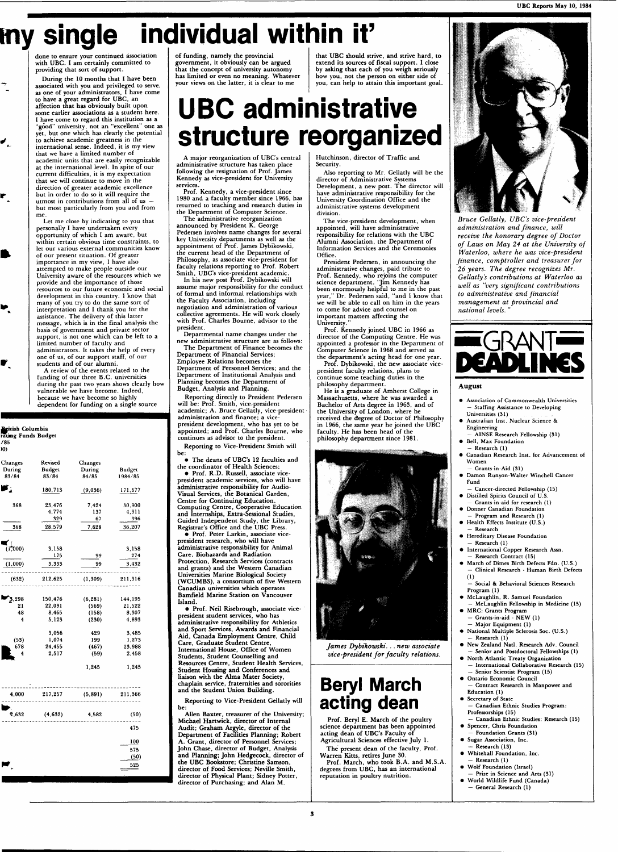# **my single individual within it'**

**done to ensure your continued association with UBC . I am certainly committed to providing that sort of support.** 

**During the 10 months that I have been associated with you and privileged to serve, as one of your administrators, I have come to have a great regard for UBC , an affection that has obviously built upon some earlier associations as a student here. I have come to regard this institution as a "good" university, not an "excellent" one as yet, but one which has clearly the potential to achieve academic greatness in the international sense. Indeed, it is my view**  that we have a limited number of academic units that are easily recognizable **at the international level. In spite of our current difficulties, it is my expectation that we will continue to move in the direction of greater academi c excellence but in order to do so it will require the utmost in contributions from all of us but most particularly from you and from m e .** 

≁́

r

Ñ

▶.

P.

**Let me close by indicating to you that personally I have undertaken every opportunity of which I am aware, but within certain obvious time constraints, to let our various external communitie s know of our present situation. Of greater importance in my view, I have also attempted to make people outside our University aware of the resources which we provide and the importanc e of those**  resources to our future economic and social **development in this country. I know that many of you try to do the same sort of interpretation and I thank you for the**  assistance. The delivery of this latter **message, which is in the final analysis the basis of government and private sector support, is not one which can be left to a**  limited number of faculty and **administrators. It takes the help of every one of us, of our support staff, of our students and of our alumni.** 

**A review of the events related to the funding of our three B.C. universities during the past two years shows clearly how vulnerable we have become . Indeed, because we have become so highly dependent for funding on a single source** 

| Pritish Columbia<br>rating Funds Budget |          |          |         |  |  |
|-----------------------------------------|----------|----------|---------|--|--|
| /85<br>)()                              |          |          |         |  |  |
| Changes                                 | Revised  | Changes  |         |  |  |
| During                                  | Budget   | During   | Budget  |  |  |
| 83/84                                   | 83/84    | 84/85    | 1984/85 |  |  |
| r,                                      | 180, 713 | (9,036)  | 171,677 |  |  |
| 368                                     | 23,476   | 7,424    | 30,900  |  |  |
|                                         | 4,774    | 137      | 4,911   |  |  |
|                                         | 329      | 67       | 396     |  |  |
| 368                                     | 28,579   | 7,628    | 36,207  |  |  |
|                                         |          |          |         |  |  |
| (17000)                                 | 3.158    |          | 3,158   |  |  |
|                                         | 175      | 99       | 274     |  |  |
|                                         |          |          |         |  |  |
| (1,000)                                 | 3,333    | 99       | 3,432   |  |  |
| (632)                                   | 212,625  | (1, 309) | 211,316 |  |  |
| 3,298                                   | 150,476  | (6, 281) | 144,195 |  |  |
| 21                                      | 22,091   | (569)    | 21,522  |  |  |
| 48                                      | 8,465    | (158)    | 8.307   |  |  |
| 4                                       | 5,123    | (230)    | 4,893   |  |  |
|                                         | 3,056    | 429      | 3,485   |  |  |
| (53)                                    | 1,074    | 199      | 1,273   |  |  |
| 678                                     | 24,455   | (467)    | 23,988  |  |  |
| 4                                       | 2,517    | (59)     | 2,458   |  |  |
|                                         |          | 1,245    | 1,245   |  |  |
| 4.000                                   | 217,257  | (5, 891) | 211.366 |  |  |
| *,632                                   | (4, 632) | 4,582    | (50)    |  |  |
|                                         |          |          | 475     |  |  |
|                                         |          |          | 100     |  |  |
|                                         |          |          | 575     |  |  |
|                                         |          |          |         |  |  |
|                                         |          |          | (50)    |  |  |
|                                         |          |          | 525     |  |  |

**of funding, namely the provincial government, it obviously can be argued that the concept of university autonomy has limited or even no meaning . Whateve r your views on the latter, it is clear to me** 

# **UBC administrative structure reorganized**

**A major reorganization of UBC's central administrative structure has taken place following the resignation of Prof. James Kennedy as vice-president for University** 

**services. Prof. Kennedy, a vice-president since**  1980 and a faculty member since 1966, has **returned to teaching and research duties in the Department of Computer Science.** 

**T h e administrative reorganization announced by President K. George**  Pedersen involves name changes for several **key University departments as well as the appointment of Prof. James Dybikowski, the current head of the Department of Philosophy, as associate vice-president for faculty relations reporting to Prof. Robert Smith, UBC's vice-president academic .** 

**In his new post Prof. Dybikowski will assume major responsibility for the conduct of formal and informal relationships with the Faculty Association, including negotiation and administration of various collective agreements. He will work closely**  with Prof. Charles Bourne, advisor to the **president.** 

**Departmental name changes under the new administrative structure are as follows: T h e Department of Finance become s the Department of Financial Services; Employee Relations become s the Department of Personnel Services; and the Department of Institutional Analysis and Planning become s the Department of Budget, Analysis and Planning.** 

**Reporting directly to President Pedersen will be: Prof. Smith, vice-president academic ; A. Bruce Gellatly, vice-presidentadministration and finance; a vicepresident development, who has yet to be appointed; and Prof. Charles Bourne, who continues as advisor to the president. Reporting to Vice-President Smith will be:** 

 $\bullet$  The deans of UBC's 12 faculties and **the coordinator of Health Sciences; • Prof. R.D . Russell, associate vicepresident academic services, who will have administrative responsibility for Audio-Visual Services, the Botanical Garden, Centre for Continuing Education, Computing Centre, Cooperative Education and Internships, Extra-Sessional Studies, Guided Independent Study, the Library, Registrar's Office and the UBC Press.** 

**• Prof. Peter Larkin, associate vicepresident research, who will have administrative responsibility for Animal Care, Biohazards and Radiation Protection, Research Services (contracts and grants) and the Western Canadian Universities Marine Biological Society (WCUMBS), a consortium of five Western Canadian universities which operates Bamfield Marine Station on Vancouver Island.** 

**• Prof. Neil Risebrough, associate vicepresident student services, who has administrative responsibility for Athletics a nd Sport Services, Awards and Financial Aid, Canada Employment Centre, Child Care, Graduate Student Centre,**  International House, Office of Women **Students, Student Counselling and Resources Centre, Student Health Services, Student Housing and Conferences and liaison with the Alma Mater Society, chaplain service, fraternities and sororities and the Student Union Building.** 

**Reporting to Vice-President Gellatly will** 

**be:**  Allen Baxter, treasurer of the University; **Michael Hartwick, director of Internal Audit; Graham Argyle, director of the Department of Facilities Planning; Robert A. Grant, director of Personnel Services; John Chase, director of Budget, Analysis and Planning; John Hedgecock, director of the UB C Bookstore; Christine Samson, director of Food Services; Neville Smith, director of Physical Plant; Sidney Potter, director of Purchasing; and Alan M.** 

that UBC should strive, and strive hard, to **extend its sources of fiscal support. I close by asking that each of you weigh seriously how you, not the person on either side of you, can help to attain this important goal.** 

**Hutchinson, director of Traffic and Security.** 

**Also reporting to Mr. Gellatly will be the director of Administrative Systems**  Development, a new post. The director will **have administrative responsibility for the University Coordination Office and the administrative systems development division.** 

The vice-president development, when **appointed, will have administrative responsibility for relations with the UBC Alumni Association, the Department of Information Services and the Ceremonies Office.** 

**President Pedersen, in announcing the administrative changes, paid tribute to**  Prof. Kennedy, who rejoins the computer **science department. "Jim Kennedy has**  been enormously helpful to me in the past **year," Dr. Pedersen said, "and I know that we will be able to call on him in the years to come for advice and counsel on important matters affecting the University."** 

**Prof. Kennedy joined UBC in 1966 as director of the Computing Centre. He was appointed a professor in the Department of Compute r Science in 1968 and served as the department's acting head for one year. Prof. Dybikowski, the new associate vice-**

**president faculty relations, plans to continue some teaching duties in the philosophy department.** 

**He is a graduate of Amherst College in Massachusetts, where he was awarded a Bachelor of Arts degree in 1963, and of the University of London, where he received the degree of Doctor of Philosophy in 1966, the same year he joined the UBC faculty. He has been head of the philosophy department since 1981.** 



*fames Dybikowski. .. new associate vice-president for faculty relations.* 

### **Beryl March acting dean**

**Prof. Beryl E. March of the poultry science department has been appointed acting dean of UBC's Faculty of Agricultural Sciences effective July 1.** 

The present dean of the faculty, Prof. **Warren Kitts, retires June 30. Prof. March, who took B.A. and M.S.A. degrees from UBC , has an international reputation in poultry nutrition.** 



*Bruce Gellatly, UBC's vice-president administration and finance, will receive the honorary degree of Doctor of Laws on May 24 at the University of Waterloo, where he was vice-president finance, comptroller and treasurer for 26 years. The degree recognizes Mr. Gellatly's contributions at Waterloo as well as "very significant contributions to administrative and financial management at provincial and national levels. "* 



#### August

- **Association of Commonwealth Universities — Staffing Assistance to Developing**
- **Universities** (31) **• Australian Inst. Nuclear Science & Engineering**
- **AINSE Research Fellowship (31) • Bell, Max Foundation — Research (1)**
- **Canadian Research Inst, for Advancement of Women**
- **Grants-in-Aid (31) • Damon Runyon-Walter Winchell Cancer Fund**
- **Cancer-directed Fellowship (15) • Distilled Spirits Council of U.S.**
- Grants-in-aid for research (1) **• Donner Canadian Foundation**
- **Program and Research (1) • Health Effects Institute (U.S.)**
- **Research • Hereditary Disease Foundation**
- **Research (1) • International Copper Research Assn.**
- **Research Contract (15) • March of Dimes Birth Defects Fdn. (U.S.)**
- **Clinical Research Human Birth Defects (1) — Social & Behavioral Sciences Research**
- **Program (1) • McLaughlin, R. Samuel Foundation**
- **McLaughlin Fellowship in Medicine (15) • MRC: Grants Program**
- **Grants-in-aid NEW (1) — Major Equipment (1)**
- **National Multiple Sclerosis Soc. (U.S.) — Research (1) • New Zealand Natl. Research Adv. Council**
- **Senior and Postdoctoral Fellowships (1) • North Atlantic Treaty Organization**
- **International Collaborative Research (15) — Senior Scientist Program (15)**
- **Ontario Economic Council — Contract Research in Manpower and Education (1)**
- **Secretary of State — Canadian Ethnic Studies Program: Professorships (15)**
- **Canadian Ethnic Studies: Research (15) • Spencer, Chris Foundation**
- **Foundation Grants (31) • Sugar Association, Inc.**
- **Research (IS) • Whitehall Foundation, Inc.**
- **Research (1) • Wolf Foundation (Israel)**
- **Prize in Science and Arts (31) • World Wildlife Fund (Canada)**
- **General Research (1)**